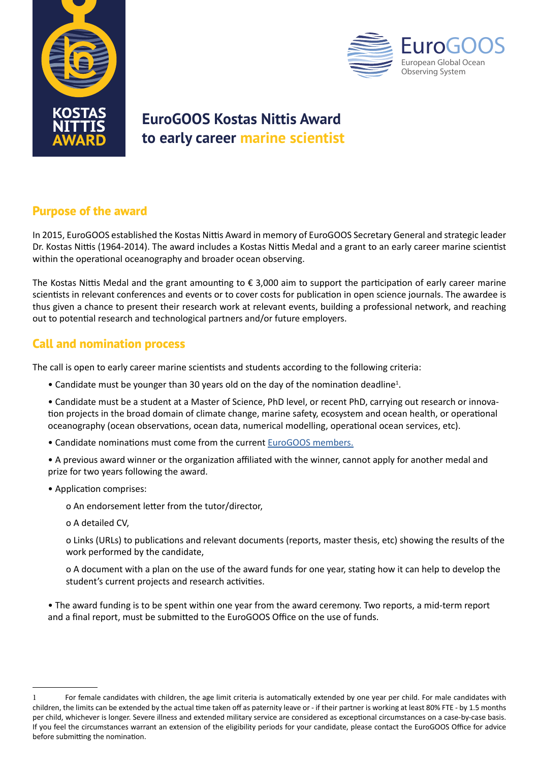



# **EuroGOOS Kostas Nittis Award to early career marine scientist**

### **Purpose of the award**

In 2015, EuroGOOS established the Kostas Nittis Award in memory of EuroGOOS Secretary General and strategic leader Dr. Kostas Nittis (1964-2014). The award includes a Kostas Nittis Medal and a grant to an early career marine scientist within the operational oceanography and broader ocean observing.

The Kostas Nittis Medal and the grant amounting to € 3,000 aim to support the participation of early career marine scientists in relevant conferences and events or to cover costs for publication in open science journals. The awardee is thus given a chance to present their research work at relevant events, building a professional network, and reaching out to potential research and technological partners and/or future employers.

### **Call and nomination process**

The call is open to early career marine scientists and students according to the following criteria:

- Candidate must be younger than 30 years old on the day of the nomination deadline<sup>1</sup>.
- Candidate must be a student at a Master of Science, PhD level, or recent PhD, carrying out research or innovation projects in the broad domain of climate change, marine safety, ecosystem and ocean health, or operational oceanography (ocean observations, ocean data, numerical modelling, operational ocean services, etc).
- Candidate nominations must come from the current [EuroGOOS members.](http://eurogoos.eu/about-eurogoos/list-of-eurogoos-member-agencies-and-contact- persons/)
- A previous award winner or the organization affiliated with the winner, cannot apply for another medal and prize for two years following the award.
- Application comprises:
	- o An endorsement letter from the tutor/director,
	- o A detailed CV,
	- o Links (URLs) to publications and relevant documents (reports, master thesis, etc) showing the results of the work performed by the candidate,
	- o A document with a plan on the use of the award funds for one year, stating how it can help to develop the student's current projects and research activities.
- The award funding is to be spent within one year from the award ceremony. Two reports, a mid-term report and a final report, must be submitted to the EuroGOOS Office on the use of funds.

<sup>1</sup> For female candidates with children, the age limit criteria is automatically extended by one year per child. For male candidates with children, the limits can be extended by the actual time taken off as paternity leave or - if their partner is working at least 80% FTE - by 1.5 months per child, whichever is longer. Severe illness and extended military service are considered as exceptional circumstances on a case-by-case basis. If you feel the circumstances warrant an extension of the eligibility periods for your candidate, please contact the EuroGOOS Office for advice before submitting the nomination.